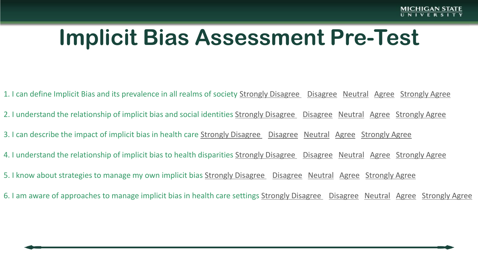## **Implicit Bias Assessment Pre-Test**

- 1. I can define Implicit Bias and its prevalence in all realms of society Strongly Disagree Disagree Neutral Agree Strongly Agree
- 2. I understand the relationship of implicit bias and social identities Strongly Disagree Disagree Neutral Agree Strongly Agree
- 3. I can describe the impact of implicit bias in health care Strongly Disagree Disagree Neutral Agree Strongly Agree
- 4. I understand the relationship of implicit bias to health disparities Strongly Disagree Disagree Neutral Agree Strongly Agree
- 5. I know about strategies to manage my own implicit bias Strongly Disagree Disagree Neutral Agree Strongly Agree
- 6. I am aware of approaches to manage implicit bias in health care settings Strongly Disagree Disagree Neutral Agree Strongly Agree